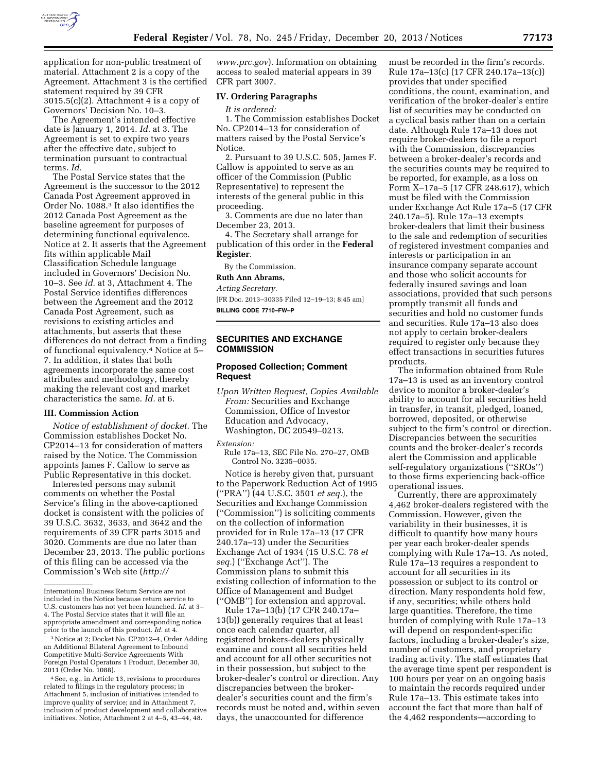

application for non-public treatment of material. Attachment 2 is a copy of the Agreement. Attachment 3 is the certified statement required by 39 CFR  $3015.5(c)(2)$ . Attachment 4 is a copy of Governors' Decision No. 10–3.

The Agreement's intended effective date is January 1, 2014. *Id.* at 3. The Agreement is set to expire two years after the effective date, subject to termination pursuant to contractual terms. *Id.* 

The Postal Service states that the Agreement is the successor to the 2012 Canada Post Agreement approved in Order No. 1088.3 It also identifies the 2012 Canada Post Agreement as the baseline agreement for purposes of determining functional equivalence. Notice at 2. It asserts that the Agreement fits within applicable Mail Classification Schedule language included in Governors' Decision No. 10–3. See *id.* at 3, Attachment 4. The Postal Service identifies differences between the Agreement and the 2012 Canada Post Agreement, such as revisions to existing articles and attachments, but asserts that these differences do not detract from a finding of functional equivalency.4 Notice at 5– 7. In addition, it states that both agreements incorporate the same cost attributes and methodology, thereby making the relevant cost and market characteristics the same. *Id.* at 6.

#### **III. Commission Action**

*Notice of establishment of docket.* The Commission establishes Docket No. CP2014–13 for consideration of matters raised by the Notice. The Commission appoints James F. Callow to serve as Public Representative in this docket.

Interested persons may submit comments on whether the Postal Service's filing in the above-captioned docket is consistent with the policies of 39 U.S.C. 3632, 3633, and 3642 and the requirements of 39 CFR parts 3015 and 3020. Comments are due no later than December 23, 2013. The public portions of this filing can be accessed via the Commission's Web site (*[http://](http://www.prc.gov)* 

*[www.prc.gov](http://www.prc.gov)*). Information on obtaining access to sealed material appears in 39 CFR part 3007.

#### **IV. Ordering Paragraphs**

*It is ordered:* 

1. The Commission establishes Docket No. CP2014–13 for consideration of matters raised by the Postal Service's Notice.

2. Pursuant to 39 U.S.C. 505, James F. Callow is appointed to serve as an officer of the Commission (Public Representative) to represent the interests of the general public in this proceeding.

3. Comments are due no later than December 23, 2013.

4. The Secretary shall arrange for publication of this order in the **Federal Register**.

By the Commission.

# **Ruth Ann Abrams,**

*Acting Secretary.* 

[FR Doc. 2013–30335 Filed 12–19–13; 8:45 am] **BILLING CODE 7710–FW–P** 

# **SECURITIES AND EXCHANGE COMMISSION**

## **Proposed Collection; Comment Request**

*Upon Written Request, Copies Available From:* Securities and Exchange Commission, Office of Investor Education and Advocacy, Washington, DC 20549–0213.

#### *Extension:*

Rule 17a–13, SEC File No. 270–27, OMB Control No. 3235–0035.

Notice is hereby given that, pursuant to the Paperwork Reduction Act of 1995 (''PRA'') (44 U.S.C. 3501 *et seq.*), the Securities and Exchange Commission (''Commission'') is soliciting comments on the collection of information provided for in Rule 17a–13 (17 CFR 240.17a–13) under the Securities Exchange Act of 1934 (15 U.S.C. 78 *et seq.*) (''Exchange Act''). The Commission plans to submit this existing collection of information to the Office of Management and Budget (''OMB'') for extension and approval.

Rule 17a–13(b) (17 CFR 240.17a– 13(b)) generally requires that at least once each calendar quarter, all registered brokers-dealers physically examine and count all securities held and account for all other securities not in their possession, but subject to the broker-dealer's control or direction. Any discrepancies between the brokerdealer's securities count and the firm's records must be noted and, within seven days, the unaccounted for difference

must be recorded in the firm's records. Rule 17a–13(c) (17 CFR 240.17a–13(c)) provides that under specified conditions, the count, examination, and verification of the broker-dealer's entire list of securities may be conducted on a cyclical basis rather than on a certain date. Although Rule 17a–13 does not require broker-dealers to file a report with the Commission, discrepancies between a broker-dealer's records and the securities counts may be required to be reported, for example, as a loss on Form X–17a–5 (17 CFR 248.617), which must be filed with the Commission under Exchange Act Rule 17a–5 (17 CFR 240.17a–5). Rule 17a–13 exempts broker-dealers that limit their business to the sale and redemption of securities of registered investment companies and interests or participation in an insurance company separate account and those who solicit accounts for federally insured savings and loan associations, provided that such persons promptly transmit all funds and securities and hold no customer funds and securities. Rule 17a–13 also does not apply to certain broker-dealers required to register only because they effect transactions in securities futures products.

The information obtained from Rule 17a–13 is used as an inventory control device to monitor a broker-dealer's ability to account for all securities held in transfer, in transit, pledged, loaned, borrowed, deposited, or otherwise subject to the firm's control or direction. Discrepancies between the securities counts and the broker-dealer's records alert the Commission and applicable self-regulatory organizations (''SROs'') to those firms experiencing back-office operational issues.

Currently, there are approximately 4,462 broker-dealers registered with the Commission. However, given the variability in their businesses, it is difficult to quantify how many hours per year each broker-dealer spends complying with Rule 17a–13. As noted, Rule 17a–13 requires a respondent to account for all securities in its possession or subject to its control or direction. Many respondents hold few, if any, securities; while others hold large quantities. Therefore, the time burden of complying with Rule 17a–13 will depend on respondent-specific factors, including a broker-dealer's size, number of customers, and proprietary trading activity. The staff estimates that the average time spent per respondent is 100 hours per year on an ongoing basis to maintain the records required under Rule 17a–13. This estimate takes into account the fact that more than half of the 4,462 respondents—according to

International Business Return Service are not included in the Notice because return service to U.S. customers has not yet been launched. *Id.* at 3– 4. The Postal Service states that it will file an appropriate amendment and corresponding notice prior to the launch of this product. *Id.* at 4.

<sup>3</sup>Notice at 2; Docket No. CP2012–4, Order Adding an Additional Bilateral Agreement to Inbound Competitive Multi-Service Agreements With Foreign Postal Operators 1 Product, December 30, 2011 (Order No. 1088).

<sup>4</sup>See, e.g., in Article 13, revisions to procedures related to filings in the regulatory process; in Attachment 5, inclusion of initiatives intended to improve quality of service; and in Attachment 7, inclusion of product development and collaborative initiatives. Notice, Attachment 2 at 4–5, 43–44, 48.